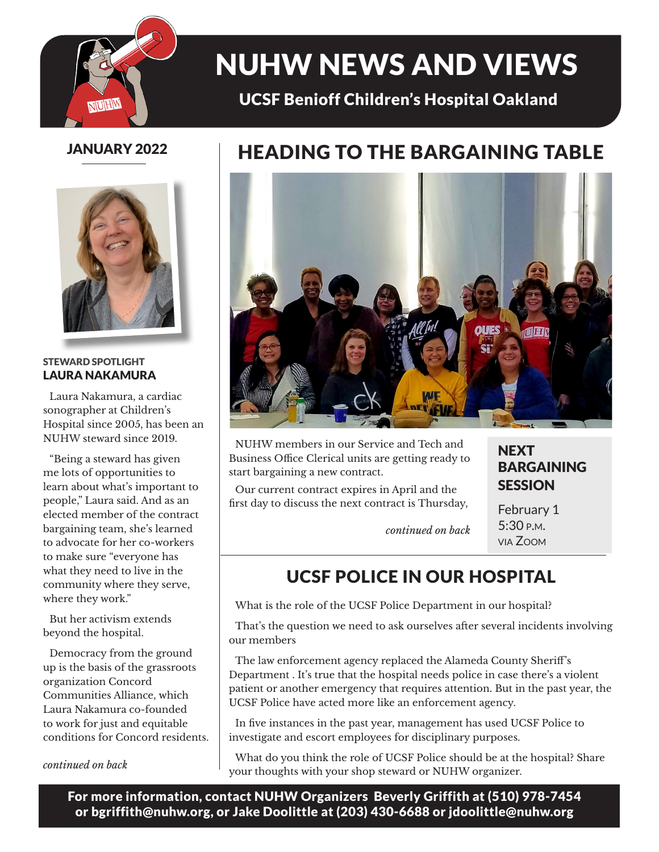

# NUHW NEWS AND VIEWS

### UCSF Benioff Children's Hospital Oakland

#### JANUARY 2022



#### STEWARD SPOTLIGHT LAURA NAKAMURA

Laura Nakamura, a cardiac sonographer at Children's Hospital since 2005, has been an NUHW steward since 2019.

"Being a steward has given me lots of opportunities to learn about what's important to people," Laura said. And as an elected member of the contract bargaining team, she's learned to advocate for her co-workers to make sure "everyone has what they need to live in the community where they serve, where they work."

But her activism extends beyond the hospital.

Democracy from the ground up is the basis of the grassroots organization Concord Communities Alliance, which Laura Nakamura co-founded to work for just and equitable conditions for Concord residents.

### HEADING TO THE BARGAINING TABLE



NUHW members in our Service and Tech and Business Office Clerical units are getting ready to start bargaining a new contract.

Our current contract expires in April and the first day to discuss the next contract is Thursday, **NEXT** BARGAINING **SESSION** 

*continued on back*

February 1 5:30 p.m. via Zoom

### UCSF POLICE IN OUR HOSPITAL

What is the role of the UCSF Police Department in our hospital?

That's the question we need to ask ourselves after several incidents involving our members

The law enforcement agency replaced the Alameda County Sheriff's Department . It's true that the hospital needs police in case there's a violent patient or another emergency that requires attention. But in the past year, the UCSF Police have acted more like an enforcement agency.

In five instances in the past year, management has used UCSF Police to investigate and escort employees for disciplinary purposes.

What do you think the role of UCSF Police should be at the hospital? Share your thoughts with your shop steward or NUHW organizer. *continued on back*

For more information, contact NUHW Organizers Beverly Griffith at (510) 978-7454 or bgriffith@nuhw.org, or Jake Doolittle at (203) 430-6688 or jdoolittle@nuhw.org